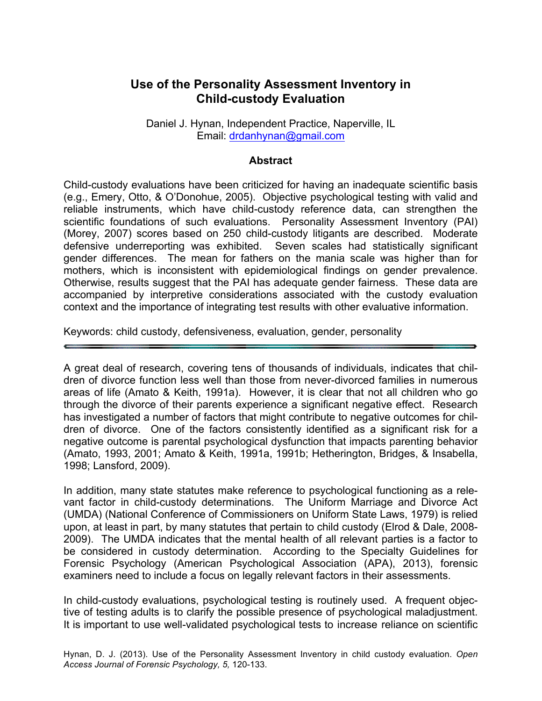# **Use of the Personality Assessment Inventory in Child-custody Evaluation**

Daniel J. Hynan, Independent Practice, Naperville, IL Email: drdanhynan@gmail.com

#### **Abstract**

Child-custody evaluations have been criticized for having an inadequate scientific basis (e.g., Emery, Otto, & O'Donohue, 2005). Objective psychological testing with valid and reliable instruments, which have child-custody reference data, can strengthen the scientific foundations of such evaluations. Personality Assessment Inventory (PAI) (Morey, 2007) scores based on 250 child-custody litigants are described. Moderate defensive underreporting was exhibited. Seven scales had statistically significant gender differences. The mean for fathers on the mania scale was higher than for mothers, which is inconsistent with epidemiological findings on gender prevalence. Otherwise, results suggest that the PAI has adequate gender fairness. These data are accompanied by interpretive considerations associated with the custody evaluation context and the importance of integrating test results with other evaluative information.

Keywords: child custody, defensiveness, evaluation, gender, personality

A great deal of research, covering tens of thousands of individuals, indicates that children of divorce function less well than those from never-divorced families in numerous areas of life (Amato & Keith, 1991a). However, it is clear that not all children who go through the divorce of their parents experience a significant negative effect. Research has investigated a number of factors that might contribute to negative outcomes for children of divorce. One of the factors consistently identified as a significant risk for a negative outcome is parental psychological dysfunction that impacts parenting behavior (Amato, 1993, 2001; Amato & Keith, 1991a, 1991b; Hetherington, Bridges, & Insabella, 1998; Lansford, 2009).

In addition, many state statutes make reference to psychological functioning as a relevant factor in child-custody determinations. The Uniform Marriage and Divorce Act (UMDA) (National Conference of Commissioners on Uniform State Laws, 1979) is relied upon, at least in part, by many statutes that pertain to child custody (Elrod & Dale, 2008- 2009). The UMDA indicates that the mental health of all relevant parties is a factor to be considered in custody determination. According to the Specialty Guidelines for Forensic Psychology (American Psychological Association (APA), 2013), forensic examiners need to include a focus on legally relevant factors in their assessments.

In child-custody evaluations, psychological testing is routinely used. A frequent objective of testing adults is to clarify the possible presence of psychological maladjustment. It is important to use well-validated psychological tests to increase reliance on scientific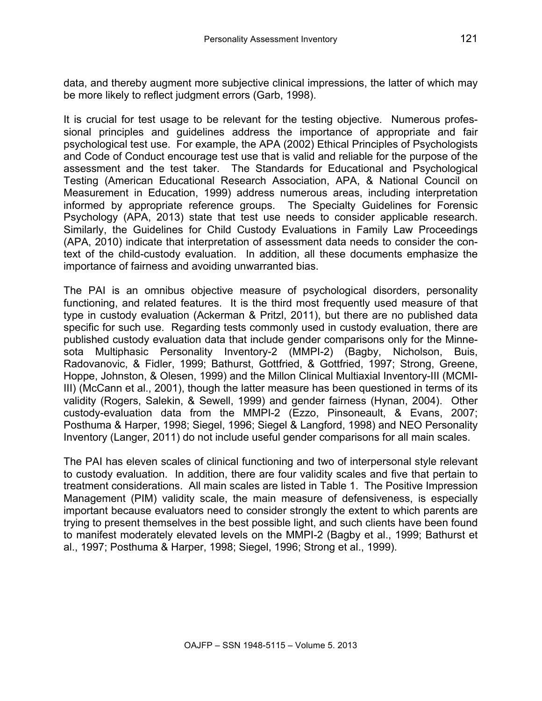data, and thereby augment more subjective clinical impressions, the latter of which may be more likely to reflect judgment errors (Garb, 1998).

It is crucial for test usage to be relevant for the testing objective. Numerous professional principles and guidelines address the importance of appropriate and fair psychological test use. For example, the APA (2002) Ethical Principles of Psychologists and Code of Conduct encourage test use that is valid and reliable for the purpose of the assessment and the test taker. The Standards for Educational and Psychological Testing (American Educational Research Association, APA, & National Council on Measurement in Education, 1999) address numerous areas, including interpretation informed by appropriate reference groups. The Specialty Guidelines for Forensic Psychology (APA, 2013) state that test use needs to consider applicable research. Similarly, the Guidelines for Child Custody Evaluations in Family Law Proceedings (APA, 2010) indicate that interpretation of assessment data needs to consider the context of the child-custody evaluation. In addition, all these documents emphasize the importance of fairness and avoiding unwarranted bias.

The PAI is an omnibus objective measure of psychological disorders, personality functioning, and related features. It is the third most frequently used measure of that type in custody evaluation (Ackerman & Pritzl, 2011), but there are no published data specific for such use. Regarding tests commonly used in custody evaluation, there are published custody evaluation data that include gender comparisons only for the Minnesota Multiphasic Personality Inventory-2 (MMPI-2) (Bagby, Nicholson, Buis, Radovanovic, & Fidler, 1999; Bathurst, Gottfried, & Gottfried, 1997; Strong, Greene, Hoppe, Johnston, & Olesen, 1999) and the Millon Clinical Multiaxial Inventory-III (MCMI-III) (McCann et al., 2001), though the latter measure has been questioned in terms of its validity (Rogers, Salekin, & Sewell, 1999) and gender fairness (Hynan, 2004). Other custody-evaluation data from the MMPI-2 (Ezzo, Pinsoneault, & Evans, 2007; Posthuma & Harper, 1998; Siegel, 1996; Siegel & Langford, 1998) and NEO Personality Inventory (Langer, 2011) do not include useful gender comparisons for all main scales.

The PAI has eleven scales of clinical functioning and two of interpersonal style relevant to custody evaluation. In addition, there are four validity scales and five that pertain to treatment considerations. All main scales are listed in Table 1. The Positive Impression Management (PIM) validity scale, the main measure of defensiveness, is especially important because evaluators need to consider strongly the extent to which parents are trying to present themselves in the best possible light, and such clients have been found to manifest moderately elevated levels on the MMPI-2 (Bagby et al., 1999; Bathurst et al., 1997; Posthuma & Harper, 1998; Siegel, 1996; Strong et al., 1999).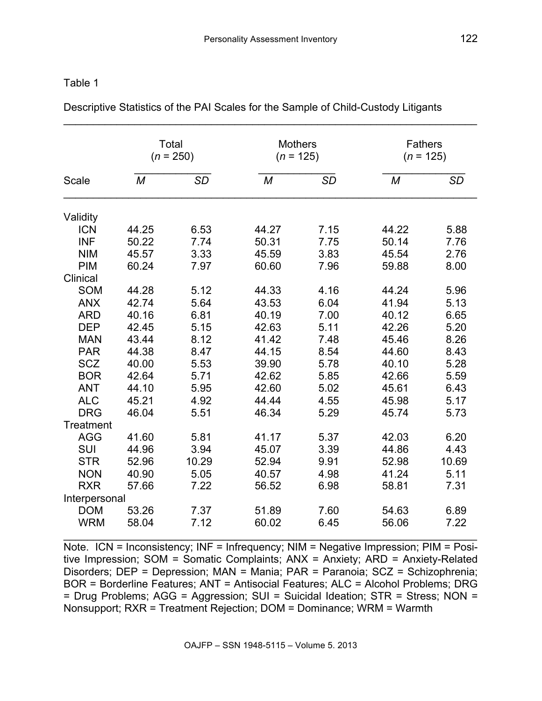| Table |
|-------|
|-------|

| <b>Scale</b>  | Total<br>$(n = 250)$ |           | <b>Mothers</b><br>$(n = 125)$ |           | <b>Fathers</b><br>$(n = 125)$ |       |
|---------------|----------------------|-----------|-------------------------------|-----------|-------------------------------|-------|
|               | M                    | <b>SD</b> | M                             | <b>SD</b> | M                             | SD    |
| Validity      |                      |           |                               |           |                               |       |
| <b>ICN</b>    | 44.25                | 6.53      | 44.27                         | 7.15      | 44.22                         | 5.88  |
| <b>INF</b>    | 50.22                | 7.74      | 50.31                         | 7.75      | 50.14                         | 7.76  |
| <b>NIM</b>    | 45.57                | 3.33      | 45.59                         | 3.83      | 45.54                         | 2.76  |
| <b>PIM</b>    | 60.24                | 7.97      | 60.60                         | 7.96      | 59.88                         | 8.00  |
| Clinical      |                      |           |                               |           |                               |       |
| <b>SOM</b>    | 44.28                | 5.12      | 44.33                         | 4.16      | 44.24                         | 5.96  |
| <b>ANX</b>    | 42.74                | 5.64      | 43.53                         | 6.04      | 41.94                         | 5.13  |
| <b>ARD</b>    | 40.16                | 6.81      | 40.19                         | 7.00      | 40.12                         | 6.65  |
| <b>DEP</b>    | 42.45                | 5.15      | 42.63                         | 5.11      | 42.26                         | 5.20  |
| <b>MAN</b>    | 43.44                | 8.12      | 41.42                         | 7.48      | 45.46                         | 8.26  |
| <b>PAR</b>    | 44.38                | 8.47      | 44.15                         | 8.54      | 44.60                         | 8.43  |
| <b>SCZ</b>    | 40.00                | 5.53      | 39.90                         | 5.78      | 40.10                         | 5.28  |
| <b>BOR</b>    | 42.64                | 5.71      | 42.62                         | 5.85      | 42.66                         | 5.59  |
| <b>ANT</b>    | 44.10                | 5.95      | 42.60                         | 5.02      | 45.61                         | 6.43  |
| <b>ALC</b>    | 45.21                | 4.92      | 44.44                         | 4.55      | 45.98                         | 5.17  |
| <b>DRG</b>    | 46.04                | 5.51      | 46.34                         | 5.29      | 45.74                         | 5.73  |
| Treatment     |                      |           |                               |           |                               |       |
| AGG           | 41.60                | 5.81      | 41.17                         | 5.37      | 42.03                         | 6.20  |
| <b>SUI</b>    | 44.96                | 3.94      | 45.07                         | 3.39      | 44.86                         | 4.43  |
| <b>STR</b>    | 52.96                | 10.29     | 52.94                         | 9.91      | 52.98                         | 10.69 |
| <b>NON</b>    | 40.90                | 5.05      | 40.57                         | 4.98      | 41.24                         | 5.11  |
| <b>RXR</b>    | 57.66                | 7.22      | 56.52                         | 6.98      | 58.81                         | 7.31  |
| Interpersonal |                      |           |                               |           |                               |       |
| <b>DOM</b>    | 53.26                | 7.37      | 51.89                         | 7.60      | 54.63                         | 6.89  |
| <b>WRM</b>    | 58.04                | 7.12      | 60.02                         | 6.45      | 56.06                         | 7.22  |

Descriptive Statistics of the PAI Scales for the Sample of Child-Custody Litigants

Note. ICN = Inconsistency; INF = Infrequency; NIM = Negative Impression; PIM = Positive Impression; SOM = Somatic Complaints; ANX = Anxiety; ARD = Anxiety-Related Disorders; DEP = Depression; MAN = Mania; PAR = Paranoia; SCZ = Schizophrenia; BOR = Borderline Features; ANT = Antisocial Features; ALC = Alcohol Problems; DRG = Drug Problems; AGG = Aggression; SUI = Suicidal Ideation; STR = Stress; NON = Nonsupport; RXR = Treatment Rejection; DOM = Dominance; WRM = Warmth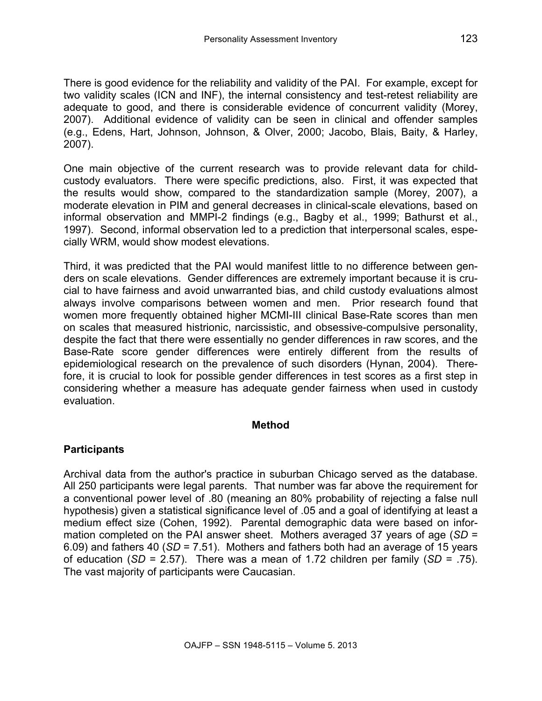There is good evidence for the reliability and validity of the PAI. For example, except for two validity scales (ICN and INF), the internal consistency and test-retest reliability are adequate to good, and there is considerable evidence of concurrent validity (Morey, 2007). Additional evidence of validity can be seen in clinical and offender samples (e.g., Edens, Hart, Johnson, Johnson, & Olver, 2000; Jacobo, Blais, Baity, & Harley, 2007).

One main objective of the current research was to provide relevant data for childcustody evaluators. There were specific predictions, also. First, it was expected that the results would show, compared to the standardization sample (Morey, 2007), a moderate elevation in PIM and general decreases in clinical-scale elevations, based on informal observation and MMPI-2 findings (e.g., Bagby et al., 1999; Bathurst et al., 1997). Second, informal observation led to a prediction that interpersonal scales, especially WRM, would show modest elevations.

Third, it was predicted that the PAI would manifest little to no difference between genders on scale elevations. Gender differences are extremely important because it is crucial to have fairness and avoid unwarranted bias, and child custody evaluations almost always involve comparisons between women and men. Prior research found that women more frequently obtained higher MCMI-III clinical Base-Rate scores than men on scales that measured histrionic, narcissistic, and obsessive-compulsive personality, despite the fact that there were essentially no gender differences in raw scores, and the Base-Rate score gender differences were entirely different from the results of epidemiological research on the prevalence of such disorders (Hynan, 2004). Therefore, it is crucial to look for possible gender differences in test scores as a first step in considering whether a measure has adequate gender fairness when used in custody evaluation.

### **Method**

# **Participants**

Archival data from the author's practice in suburban Chicago served as the database. All 250 participants were legal parents. That number was far above the requirement for a conventional power level of .80 (meaning an 80% probability of rejecting a false null hypothesis) given a statistical significance level of .05 and a goal of identifying at least a medium effect size (Cohen, 1992). Parental demographic data were based on information completed on the PAI answer sheet. Mothers averaged 37 years of age (*SD* = 6.09) and fathers 40 (*SD* = 7.51). Mothers and fathers both had an average of 15 years of education (*SD* = 2.57). There was a mean of 1.72 children per family (*SD* = .75). The vast majority of participants were Caucasian.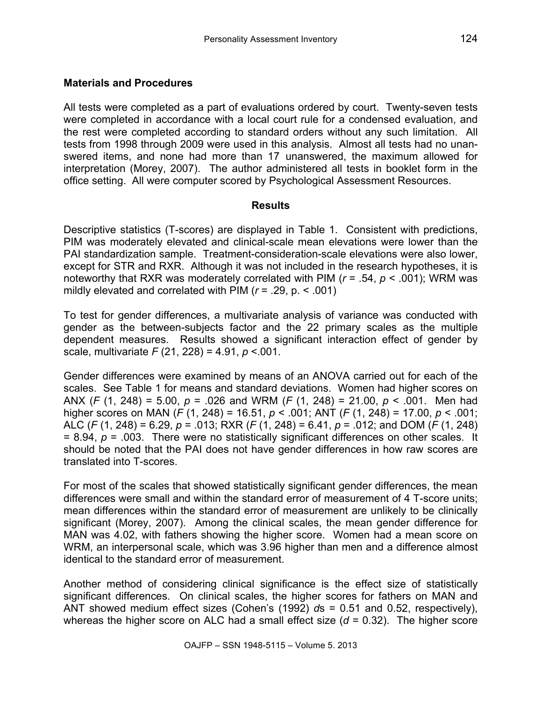# **Materials and Procedures**

All tests were completed as a part of evaluations ordered by court. Twenty-seven tests were completed in accordance with a local court rule for a condensed evaluation, and the rest were completed according to standard orders without any such limitation. All tests from 1998 through 2009 were used in this analysis. Almost all tests had no unanswered items, and none had more than 17 unanswered, the maximum allowed for interpretation (Morey, 2007). The author administered all tests in booklet form in the office setting. All were computer scored by Psychological Assessment Resources.

# **Results**

Descriptive statistics (T-scores) are displayed in Table 1. Consistent with predictions, PIM was moderately elevated and clinical-scale mean elevations were lower than the PAI standardization sample. Treatment-consideration-scale elevations were also lower, except for STR and RXR. Although it was not included in the research hypotheses, it is noteworthy that RXR was moderately correlated with PIM (*r* = .54, *p* < .001); WRM was mildly elevated and correlated with PIM (*r* = .29, p. < .001)

To test for gender differences, a multivariate analysis of variance was conducted with gender as the between-subjects factor and the 22 primary scales as the multiple dependent measures. Results showed a significant interaction effect of gender by scale, multivariate *F* (21, 228) = 4.91, *p* <.001.

Gender differences were examined by means of an ANOVA carried out for each of the scales. See Table 1 for means and standard deviations. Women had higher scores on ANX (*F* (1, 248) = 5.00, *p* = .026 and WRM (*F* (1, 248) = 21.00, *p* < .001. Men had higher scores on MAN (*F* (1, 248) = 16.51, *p* < .001; ANT (*F* (1, 248) = 17.00, *p* < .001; ALC (*F* (1, 248) = 6.29, *p* = .013; RXR (*F* (1, 248) = 6.41, *p* = .012; and DOM (*F* (1, 248) = 8.94, *p* = .003. There were no statistically significant differences on other scales. It should be noted that the PAI does not have gender differences in how raw scores are translated into T-scores.

For most of the scales that showed statistically significant gender differences, the mean differences were small and within the standard error of measurement of 4 T-score units; mean differences within the standard error of measurement are unlikely to be clinically significant (Morey, 2007). Among the clinical scales, the mean gender difference for MAN was 4.02, with fathers showing the higher score. Women had a mean score on WRM, an interpersonal scale, which was 3.96 higher than men and a difference almost identical to the standard error of measurement.

Another method of considering clinical significance is the effect size of statistically significant differences. On clinical scales, the higher scores for fathers on MAN and ANT showed medium effect sizes (Cohen's (1992) *d*s = 0.51 and 0.52, respectively), whereas the higher score on ALC had a small effect size ( $d = 0.32$ ). The higher score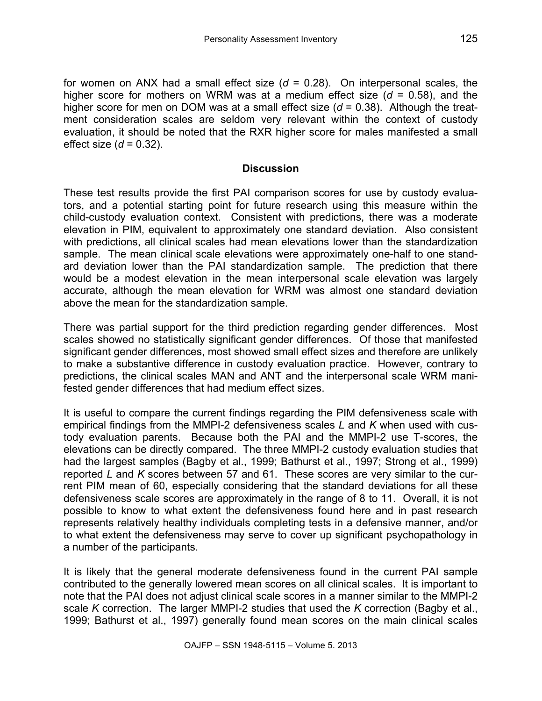for women on ANX had a small effect size (*d* = 0.28). On interpersonal scales, the higher score for mothers on WRM was at a medium effect size (*d* = 0.58), and the higher score for men on DOM was at a small effect size (*d* = 0.38). Although the treatment consideration scales are seldom very relevant within the context of custody evaluation, it should be noted that the RXR higher score for males manifested a small effect size (*d* = 0.32).

### **Discussion**

These test results provide the first PAI comparison scores for use by custody evaluators, and a potential starting point for future research using this measure within the child-custody evaluation context. Consistent with predictions, there was a moderate elevation in PIM, equivalent to approximately one standard deviation. Also consistent with predictions, all clinical scales had mean elevations lower than the standardization sample. The mean clinical scale elevations were approximately one-half to one standard deviation lower than the PAI standardization sample. The prediction that there would be a modest elevation in the mean interpersonal scale elevation was largely accurate, although the mean elevation for WRM was almost one standard deviation above the mean for the standardization sample.

There was partial support for the third prediction regarding gender differences. Most scales showed no statistically significant gender differences. Of those that manifested significant gender differences, most showed small effect sizes and therefore are unlikely to make a substantive difference in custody evaluation practice. However, contrary to predictions, the clinical scales MAN and ANT and the interpersonal scale WRM manifested gender differences that had medium effect sizes.

It is useful to compare the current findings regarding the PIM defensiveness scale with empirical findings from the MMPI-2 defensiveness scales *L* and *K* when used with custody evaluation parents. Because both the PAI and the MMPI-2 use T-scores, the elevations can be directly compared. The three MMPI-2 custody evaluation studies that had the largest samples (Bagby et al., 1999; Bathurst et al., 1997; Strong et al., 1999) reported *L* and *K* scores between 57 and 61. These scores are very similar to the current PIM mean of 60, especially considering that the standard deviations for all these defensiveness scale scores are approximately in the range of 8 to 11. Overall, it is not possible to know to what extent the defensiveness found here and in past research represents relatively healthy individuals completing tests in a defensive manner, and/or to what extent the defensiveness may serve to cover up significant psychopathology in a number of the participants.

It is likely that the general moderate defensiveness found in the current PAI sample contributed to the generally lowered mean scores on all clinical scales. It is important to note that the PAI does not adjust clinical scale scores in a manner similar to the MMPI-2 scale *K* correction. The larger MMPI-2 studies that used the *K* correction (Bagby et al., 1999; Bathurst et al., 1997) generally found mean scores on the main clinical scales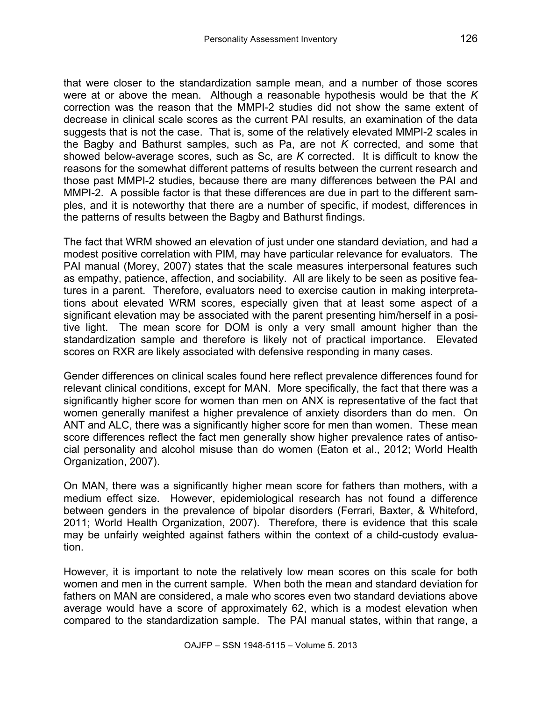that were closer to the standardization sample mean, and a number of those scores were at or above the mean. Although a reasonable hypothesis would be that the *K* correction was the reason that the MMPI-2 studies did not show the same extent of decrease in clinical scale scores as the current PAI results, an examination of the data suggests that is not the case. That is, some of the relatively elevated MMPI-2 scales in the Bagby and Bathurst samples, such as Pa, are not *K* corrected, and some that showed below-average scores, such as Sc, are *K* corrected. It is difficult to know the reasons for the somewhat different patterns of results between the current research and those past MMPI-2 studies, because there are many differences between the PAI and MMPI-2. A possible factor is that these differences are due in part to the different samples, and it is noteworthy that there are a number of specific, if modest, differences in the patterns of results between the Bagby and Bathurst findings.

The fact that WRM showed an elevation of just under one standard deviation, and had a modest positive correlation with PIM, may have particular relevance for evaluators. The PAI manual (Morey, 2007) states that the scale measures interpersonal features such as empathy, patience, affection, and sociability. All are likely to be seen as positive features in a parent. Therefore, evaluators need to exercise caution in making interpretations about elevated WRM scores, especially given that at least some aspect of a significant elevation may be associated with the parent presenting him/herself in a positive light. The mean score for DOM is only a very small amount higher than the standardization sample and therefore is likely not of practical importance. Elevated scores on RXR are likely associated with defensive responding in many cases.

Gender differences on clinical scales found here reflect prevalence differences found for relevant clinical conditions, except for MAN. More specifically, the fact that there was a significantly higher score for women than men on ANX is representative of the fact that women generally manifest a higher prevalence of anxiety disorders than do men. On ANT and ALC, there was a significantly higher score for men than women. These mean score differences reflect the fact men generally show higher prevalence rates of antisocial personality and alcohol misuse than do women (Eaton et al., 2012; World Health Organization, 2007).

On MAN, there was a significantly higher mean score for fathers than mothers, with a medium effect size. However, epidemiological research has not found a difference between genders in the prevalence of bipolar disorders (Ferrari, Baxter, & Whiteford, 2011; World Health Organization, 2007). Therefore, there is evidence that this scale may be unfairly weighted against fathers within the context of a child-custody evaluation.

However, it is important to note the relatively low mean scores on this scale for both women and men in the current sample. When both the mean and standard deviation for fathers on MAN are considered, a male who scores even two standard deviations above average would have a score of approximately 62, which is a modest elevation when compared to the standardization sample. The PAI manual states, within that range, a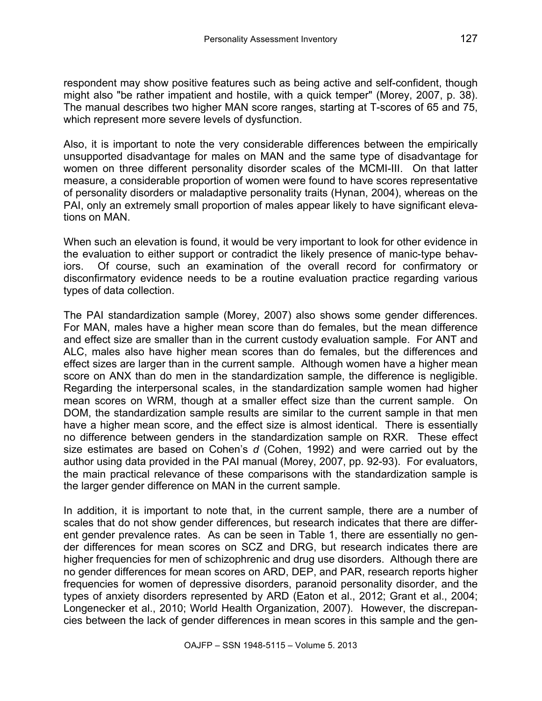respondent may show positive features such as being active and self-confident, though might also "be rather impatient and hostile, with a quick temper" (Morey, 2007, p. 38). The manual describes two higher MAN score ranges, starting at T-scores of 65 and 75, which represent more severe levels of dysfunction.

Also, it is important to note the very considerable differences between the empirically unsupported disadvantage for males on MAN and the same type of disadvantage for women on three different personality disorder scales of the MCMI-III. On that latter measure, a considerable proportion of women were found to have scores representative of personality disorders or maladaptive personality traits (Hynan, 2004), whereas on the PAI, only an extremely small proportion of males appear likely to have significant elevations on MAN.

When such an elevation is found, it would be very important to look for other evidence in the evaluation to either support or contradict the likely presence of manic-type behaviors. Of course, such an examination of the overall record for confirmatory or disconfirmatory evidence needs to be a routine evaluation practice regarding various types of data collection.

The PAI standardization sample (Morey, 2007) also shows some gender differences. For MAN, males have a higher mean score than do females, but the mean difference and effect size are smaller than in the current custody evaluation sample. For ANT and ALC, males also have higher mean scores than do females, but the differences and effect sizes are larger than in the current sample. Although women have a higher mean score on ANX than do men in the standardization sample, the difference is negligible. Regarding the interpersonal scales, in the standardization sample women had higher mean scores on WRM, though at a smaller effect size than the current sample. On DOM, the standardization sample results are similar to the current sample in that men have a higher mean score, and the effect size is almost identical. There is essentially no difference between genders in the standardization sample on RXR. These effect size estimates are based on Cohen's *d* (Cohen, 1992) and were carried out by the author using data provided in the PAI manual (Morey, 2007, pp. 92-93). For evaluators, the main practical relevance of these comparisons with the standardization sample is the larger gender difference on MAN in the current sample.

In addition, it is important to note that, in the current sample, there are a number of scales that do not show gender differences, but research indicates that there are different gender prevalence rates. As can be seen in Table 1, there are essentially no gender differences for mean scores on SCZ and DRG, but research indicates there are higher frequencies for men of schizophrenic and drug use disorders. Although there are no gender differences for mean scores on ARD, DEP, and PAR, research reports higher frequencies for women of depressive disorders, paranoid personality disorder, and the types of anxiety disorders represented by ARD (Eaton et al., 2012; Grant et al., 2004; Longenecker et al., 2010; World Health Organization, 2007). However, the discrepancies between the lack of gender differences in mean scores in this sample and the gen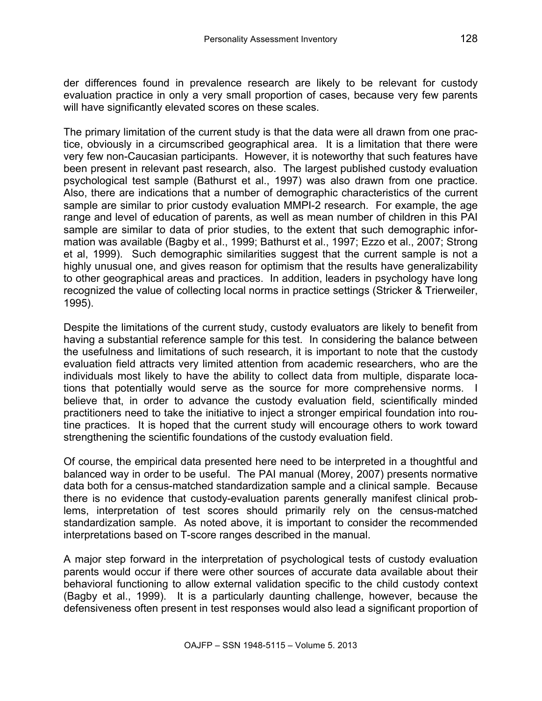der differences found in prevalence research are likely to be relevant for custody evaluation practice in only a very small proportion of cases, because very few parents will have significantly elevated scores on these scales.

The primary limitation of the current study is that the data were all drawn from one practice, obviously in a circumscribed geographical area. It is a limitation that there were very few non-Caucasian participants. However, it is noteworthy that such features have been present in relevant past research, also. The largest published custody evaluation psychological test sample (Bathurst et al., 1997) was also drawn from one practice. Also, there are indications that a number of demographic characteristics of the current sample are similar to prior custody evaluation MMPI-2 research. For example, the age range and level of education of parents, as well as mean number of children in this PAI sample are similar to data of prior studies, to the extent that such demographic information was available (Bagby et al., 1999; Bathurst et al., 1997; Ezzo et al., 2007; Strong et al, 1999). Such demographic similarities suggest that the current sample is not a highly unusual one, and gives reason for optimism that the results have generalizability to other geographical areas and practices. In addition, leaders in psychology have long recognized the value of collecting local norms in practice settings (Stricker & Trierweiler, 1995).

Despite the limitations of the current study, custody evaluators are likely to benefit from having a substantial reference sample for this test. In considering the balance between the usefulness and limitations of such research, it is important to note that the custody evaluation field attracts very limited attention from academic researchers, who are the individuals most likely to have the ability to collect data from multiple, disparate locations that potentially would serve as the source for more comprehensive norms. I believe that, in order to advance the custody evaluation field, scientifically minded practitioners need to take the initiative to inject a stronger empirical foundation into routine practices. It is hoped that the current study will encourage others to work toward strengthening the scientific foundations of the custody evaluation field.

Of course, the empirical data presented here need to be interpreted in a thoughtful and balanced way in order to be useful. The PAI manual (Morey, 2007) presents normative data both for a census-matched standardization sample and a clinical sample. Because there is no evidence that custody-evaluation parents generally manifest clinical problems, interpretation of test scores should primarily rely on the census-matched standardization sample. As noted above, it is important to consider the recommended interpretations based on T-score ranges described in the manual.

A major step forward in the interpretation of psychological tests of custody evaluation parents would occur if there were other sources of accurate data available about their behavioral functioning to allow external validation specific to the child custody context (Bagby et al., 1999). It is a particularly daunting challenge, however, because the defensiveness often present in test responses would also lead a significant proportion of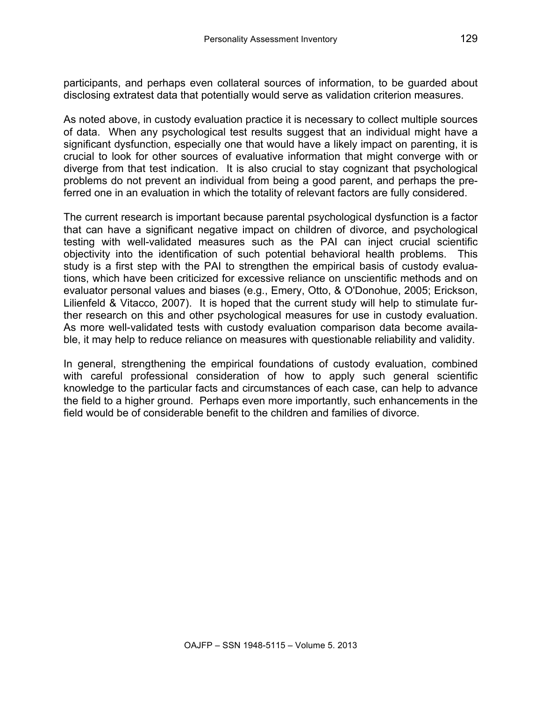participants, and perhaps even collateral sources of information, to be guarded about disclosing extratest data that potentially would serve as validation criterion measures.

As noted above, in custody evaluation practice it is necessary to collect multiple sources of data. When any psychological test results suggest that an individual might have a significant dysfunction, especially one that would have a likely impact on parenting, it is crucial to look for other sources of evaluative information that might converge with or diverge from that test indication. It is also crucial to stay cognizant that psychological problems do not prevent an individual from being a good parent, and perhaps the preferred one in an evaluation in which the totality of relevant factors are fully considered.

The current research is important because parental psychological dysfunction is a factor that can have a significant negative impact on children of divorce, and psychological testing with well-validated measures such as the PAI can inject crucial scientific objectivity into the identification of such potential behavioral health problems. This study is a first step with the PAI to strengthen the empirical basis of custody evaluations, which have been criticized for excessive reliance on unscientific methods and on evaluator personal values and biases (e.g., Emery, Otto, & O'Donohue, 2005; Erickson, Lilienfeld & Vitacco, 2007). It is hoped that the current study will help to stimulate further research on this and other psychological measures for use in custody evaluation. As more well-validated tests with custody evaluation comparison data become available, it may help to reduce reliance on measures with questionable reliability and validity.

In general, strengthening the empirical foundations of custody evaluation, combined with careful professional consideration of how to apply such general scientific knowledge to the particular facts and circumstances of each case, can help to advance the field to a higher ground. Perhaps even more importantly, such enhancements in the field would be of considerable benefit to the children and families of divorce.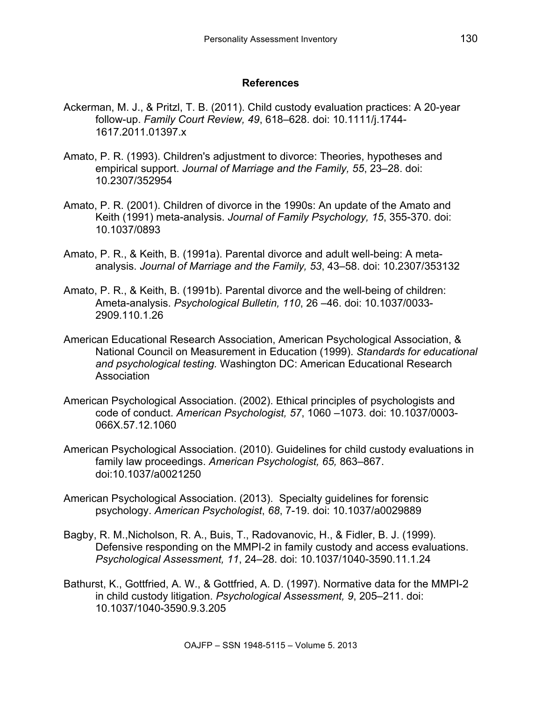### **References**

- Ackerman, M. J., & Pritzl, T. B. (2011). Child custody evaluation practices: A 20-year follow-up. *Family Court Review, 49*, 618–628. doi: 10.1111/j.1744- 1617.2011.01397.x
- Amato, P. R. (1993). Children's adjustment to divorce: Theories, hypotheses and empirical support. *Journal of Marriage and the Family, 55*, 23–28. doi: 10.2307/352954
- Amato, P. R. (2001). Children of divorce in the 1990s: An update of the Amato and Keith (1991) meta-analysis. *Journal of Family Psychology, 15*, 355-370. doi: 10.1037/0893
- Amato, P. R., & Keith, B. (1991a). Parental divorce and adult well-being: A metaanalysis. *Journal of Marriage and the Family, 53*, 43–58. doi: 10.2307/353132
- Amato, P. R., & Keith, B. (1991b). Parental divorce and the well-being of children: Ameta-analysis. *Psychological Bulletin, 110*, 26 –46. doi: 10.1037/0033- 2909.110.1.26
- American Educational Research Association, American Psychological Association, & National Council on Measurement in Education (1999). *Standards for educational and psychological testing.* Washington DC: American Educational Research Association
- American Psychological Association. (2002). Ethical principles of psychologists and code of conduct. *American Psychologist, 57*, 1060 –1073. doi: 10.1037/0003- 066X.57.12.1060
- American Psychological Association. (2010). Guidelines for child custody evaluations in family law proceedings. *American Psychologist, 65,* 863–867. doi:10.1037/a0021250
- American Psychological Association. (2013). Specialty guidelines for forensic psychology. *American Psychologist*, *68*, 7-19. doi: 10.1037/a0029889
- Bagby, R. M.,Nicholson, R. A., Buis, T., Radovanovic, H., & Fidler, B. J. (1999). Defensive responding on the MMPI-2 in family custody and access evaluations. *Psychological Assessment, 11*, 24–28. doi: 10.1037/1040-3590.11.1.24
- Bathurst, K., Gottfried, A. W., & Gottfried, A. D. (1997). Normative data for the MMPI-2 in child custody litigation. *Psychological Assessment, 9*, 205–211. doi: 10.1037/1040-3590.9.3.205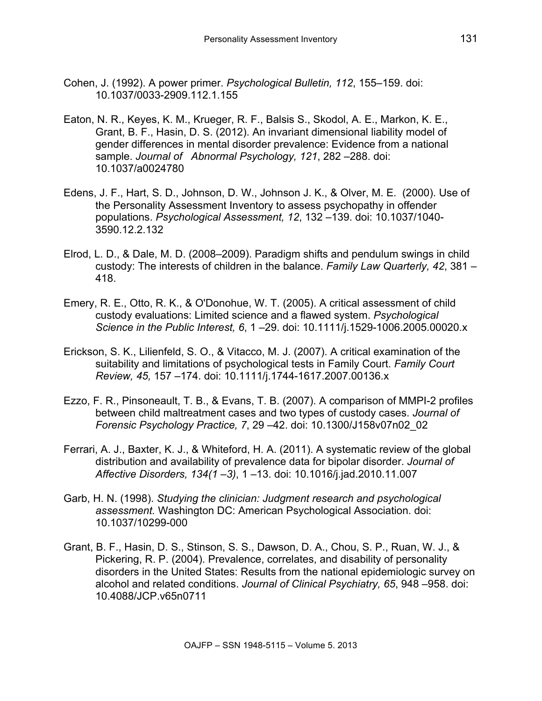- Cohen, J. (1992). A power primer. *Psychological Bulletin, 112*, 155–159. doi: 10.1037/0033-2909.112.1.155
- Eaton, N. R., Keyes, K. M., Krueger, R. F., Balsis S., Skodol, A. E., Markon, K. E., Grant, B. F., Hasin, D. S. (2012). An invariant dimensional liability model of gender differences in mental disorder prevalence: Evidence from a national sample. *Journal of Abnormal Psychology, 121*, 282 –288. doi: 10.1037/a0024780
- Edens, J. F., Hart, S. D., Johnson, D. W., Johnson J. K., & Olver, M. E. (2000). Use of the Personality Assessment Inventory to assess psychopathy in offender populations. *Psychological Assessment, 12*, 132 –139. doi: 10.1037/1040- 3590.12.2.132
- Elrod, L. D., & Dale, M. D. (2008–2009). Paradigm shifts and pendulum swings in child custody: The interests of children in the balance. *Family Law Quarterly, 42*, 381 – 418.
- Emery, R. E., Otto, R. K., & O'Donohue, W. T. (2005). A critical assessment of child custody evaluations: Limited science and a flawed system. *Psychological Science in the Public Interest, 6*, 1 –29. doi: 10.1111/j.1529-1006.2005.00020.x
- Erickson, S. K., Lilienfeld, S. O., & Vitacco, M. J. (2007). A critical examination of the suitability and limitations of psychological tests in Family Court. *Family Court Review, 45,* 157 –174. doi: 10.1111/j.1744-1617.2007.00136.x
- Ezzo, F. R., Pinsoneault, T. B., & Evans, T. B. (2007). A comparison of MMPI-2 profiles between child maltreatment cases and two types of custody cases. *Journal of Forensic Psychology Practice, 7*, 29 –42. doi: 10.1300/J158v07n02\_02
- Ferrari, A. J., Baxter, K. J., & Whiteford, H. A. (2011). A systematic review of the global distribution and availability of prevalence data for bipolar disorder. *Journal of Affective Disorders, 134(1 –3)*, 1 –13. doi: 10.1016/j.jad.2010.11.007
- Garb, H. N. (1998). *Studying the clinician: Judgment research and psychological assessment.* Washington DC: American Psychological Association. doi: 10.1037/10299-000
- Grant, B. F., Hasin, D. S., Stinson, S. S., Dawson, D. A., Chou, S. P., Ruan, W. J., & Pickering, R. P. (2004). Prevalence, correlates, and disability of personality disorders in the United States: Results from the national epidemiologic survey on alcohol and related conditions. *Journal of Clinical Psychiatry, 65*, 948 –958. doi: 10.4088/JCP.v65n0711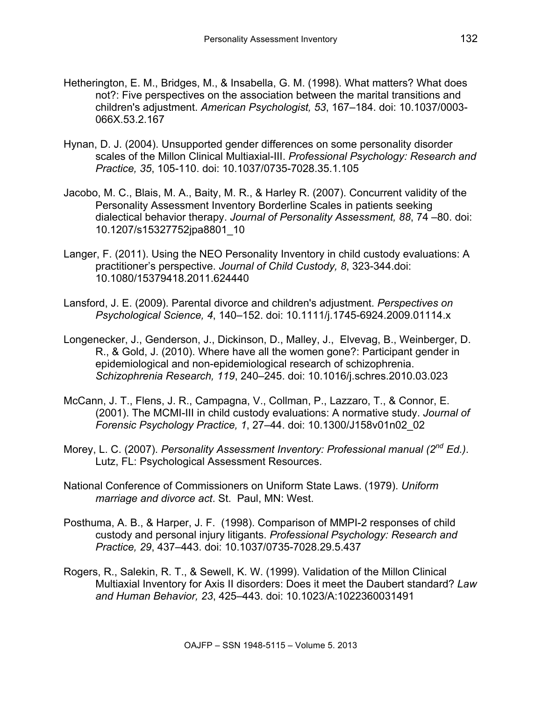- Hetherington, E. M., Bridges, M., & Insabella, G. M. (1998). What matters? What does not?: Five perspectives on the association between the marital transitions and children's adjustment. *American Psychologist, 53*, 167–184. doi: 10.1037/0003- 066X.53.2.167
- Hynan, D. J. (2004). Unsupported gender differences on some personality disorder scales of the Millon Clinical Multiaxial-III. *Professional Psychology: Research and Practice, 35*, 105-110. doi: 10.1037/0735-7028.35.1.105
- Jacobo, M. C., Blais, M. A., Baity, M. R., & Harley R. (2007). Concurrent validity of the Personality Assessment Inventory Borderline Scales in patients seeking dialectical behavior therapy. *Journal of Personality Assessment, 88*, 74 –80. doi: 10.1207/s15327752jpa8801\_10
- Langer, F. (2011). Using the NEO Personality Inventory in child custody evaluations: A practitioner's perspective. *Journal of Child Custody, 8*, 323-344.doi: 10.1080/15379418.2011.624440
- Lansford, J. E. (2009). Parental divorce and children's adjustment. *Perspectives on Psychological Science, 4*, 140–152. doi: 10.1111/j.1745-6924.2009.01114.x
- Longenecker, J., Genderson, J., Dickinson, D., Malley, J., Elvevag, B., Weinberger, D. R., & Gold, J. (2010). Where have all the women gone?: Participant gender in epidemiological and non-epidemiological research of schizophrenia. *Schizophrenia Research, 119*, 240–245. doi: 10.1016/j.schres.2010.03.023
- McCann, J. T., Flens, J. R., Campagna, V., Collman, P., Lazzaro, T., & Connor, E. (2001). The MCMI-III in child custody evaluations: A normative study. *Journal of Forensic Psychology Practice, 1*, 27–44. doi: 10.1300/J158v01n02\_02
- Morey, L. C. (2007). *Personality Assessment Inventory: Professional manual (2nd Ed.)*. Lutz, FL: Psychological Assessment Resources.
- National Conference of Commissioners on Uniform State Laws. (1979). *Uniform marriage and divorce act*. St. Paul, MN: West.
- Posthuma, A. B., & Harper, J. F. (1998). Comparison of MMPI-2 responses of child custody and personal injury litigants. *Professional Psychology: Research and Practice, 29*, 437–443. doi: 10.1037/0735-7028.29.5.437
- Rogers, R., Salekin, R. T., & Sewell, K. W. (1999). Validation of the Millon Clinical Multiaxial Inventory for Axis II disorders: Does it meet the Daubert standard? *Law and Human Behavior, 23*, 425–443. doi: 10.1023/A:1022360031491